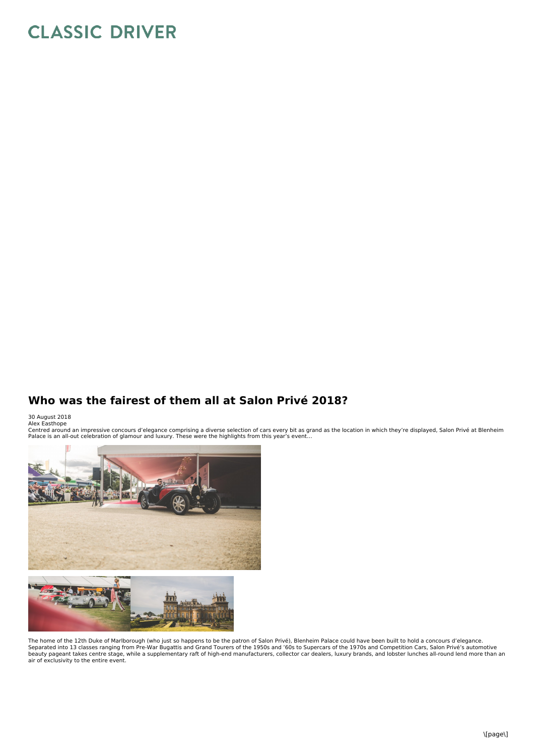## **CLASSIC DRIVER**

## **Who was the fairest of them all at Salon Privé 2018?**

30 August 2018<br>Alex Easthope

Centred around an impressive concours d'elegance comprising a diverse selection of cars every bit as grand as the location in which they're displayed, Salon Privé at Blenheim<br>Palace is an all-out celebration of glamour and



The home of the 12th Duke of Marlborough (who just so happens to be the patron of Salon Privé), Blenheim Palace could have been built to hold a concours d'elegance. Separated into 13 classes ranging from Pre-War Bugattis and Grand Tourers of the 1950s and '60s to Supercars of the 1970s and Competition Cars, Salon Privé's automotive<br>beauty pageant takes centre stage, while a supplement